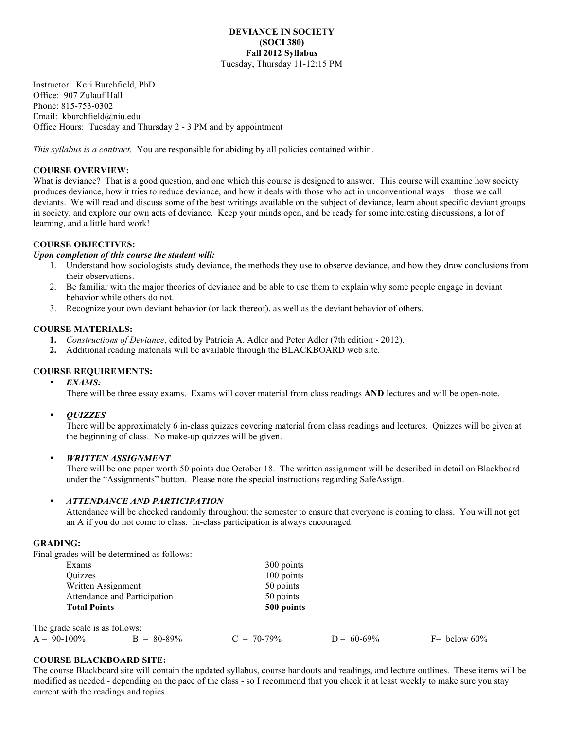### **DEVIANCE IN SOCIETY (SOCI 380) Fall 2012 Syllabus** Tuesday, Thursday 11-12:15 PM

Instructor: Keri Burchfield, PhD Office: 907 Zulauf Hall Phone: 815-753-0302 Email: kburchfield@niu.edu Office Hours: Tuesday and Thursday 2 - 3 PM and by appointment

*This syllabus is a contract.* You are responsible for abiding by all policies contained within.

# **COURSE OVERVIEW:**

What is deviance? That is a good question, and one which this course is designed to answer. This course will examine how society produces deviance, how it tries to reduce deviance, and how it deals with those who act in unconventional ways – those we call deviants. We will read and discuss some of the best writings available on the subject of deviance, learn about specific deviant groups in society, and explore our own acts of deviance. Keep your minds open, and be ready for some interesting discussions, a lot of learning, and a little hard work!

# **COURSE OBJECTIVES:**

#### *Upon completion of this course the student will:*

- 1. Understand how sociologists study deviance, the methods they use to observe deviance, and how they draw conclusions from their observations.
- 2. Be familiar with the major theories of deviance and be able to use them to explain why some people engage in deviant behavior while others do not.
- 3. Recognize your own deviant behavior (or lack thereof), as well as the deviant behavior of others.

#### **COURSE MATERIALS:**

- **1.** *Constructions of Deviance*, edited by Patricia A. Adler and Peter Adler (7th edition 2012).
- **2.** Additional reading materials will be available through the BLACKBOARD web site.

#### **COURSE REQUIREMENTS:**

• *EXAMS:*

There will be three essay exams. Exams will cover material from class readings **AND** lectures and will be open-note.

• *QUIZZES*

There will be approximately 6 in-class quizzes covering material from class readings and lectures. Quizzes will be given at the beginning of class. No make-up quizzes will be given.

### • *WRITTEN ASSIGNMENT*

There will be one paper worth 50 points due October 18. The written assignment will be described in detail on Blackboard under the "Assignments" button. Please note the special instructions regarding SafeAssign.

#### • *ATTENDANCE AND PARTICIPATION*

Attendance will be checked randomly throughout the semester to ensure that everyone is coming to class. You will not get an A if you do not come to class. In-class participation is always encouraged.

#### **GRADING:**

The

Final grades will be determined as follows:

|                                                     | Exams                          |               | 300 points              |               |                |
|-----------------------------------------------------|--------------------------------|---------------|-------------------------|---------------|----------------|
|                                                     | <b>Ouizzes</b>                 |               | 100 points              |               |                |
|                                                     | Written Assignment             |               | 50 points               |               |                |
| Attendance and Participation<br><b>Total Points</b> |                                |               | 50 points<br>500 points |               |                |
|                                                     |                                |               |                         |               |                |
|                                                     | The grade scale is as follows: |               |                         |               |                |
| $A = 90-100\%$                                      |                                | $B = 80-89\%$ | $C = 70-79\%$           | $D = 60-69\%$ | $F=$ below 60% |

# **COURSE BLACKBOARD SITE:**

The course Blackboard site will contain the updated syllabus, course handouts and readings, and lecture outlines. These items will be modified as needed - depending on the pace of the class - so I recommend that you check it at least weekly to make sure you stay current with the readings and topics.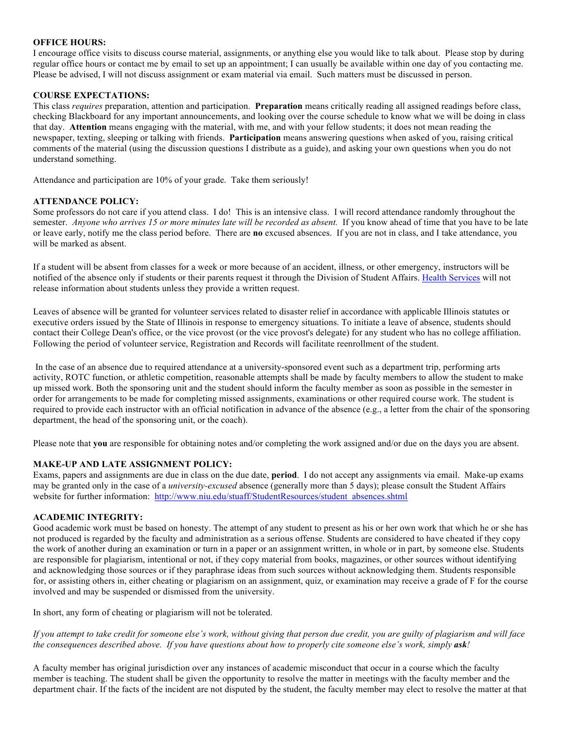# **OFFICE HOURS:**

I encourage office visits to discuss course material, assignments, or anything else you would like to talk about. Please stop by during regular office hours or contact me by email to set up an appointment; I can usually be available within one day of you contacting me. Please be advised, I will not discuss assignment or exam material via email. Such matters must be discussed in person.

# **COURSE EXPECTATIONS:**

This class *requires* preparation, attention and participation. **Preparation** means critically reading all assigned readings before class, checking Blackboard for any important announcements, and looking over the course schedule to know what we will be doing in class that day. **Attention** means engaging with the material, with me, and with your fellow students; it does not mean reading the newspaper, texting, sleeping or talking with friends. **Participation** means answering questions when asked of you, raising critical comments of the material (using the discussion questions I distribute as a guide), and asking your own questions when you do not understand something.

Attendance and participation are 10% of your grade. Take them seriously!

### **ATTENDANCE POLICY:**

Some professors do not care if you attend class. I do! This is an intensive class. I will record attendance randomly throughout the semester. *Anyone who arrives 15 or more minutes late will be recorded as absent.* If you know ahead of time that you have to be late or leave early, notify me the class period before. There are **no** excused absences. If you are not in class, and I take attendance, you will be marked as absent. 

If a student will be absent from classes for a week or more because of an accident, illness, or other emergency, instructors will be notified of the absence only if students or their parents request it through the Division of Student Affairs. Health Services will not release information about students unless they provide a written request.

Leaves of absence will be granted for volunteer services related to disaster relief in accordance with applicable Illinois statutes or executive orders issued by the State of Illinois in response to emergency situations. To initiate a leave of absence, students should contact their College Dean's office, or the vice provost (or the vice provost's delegate) for any student who has no college affiliation. Following the period of volunteer service, Registration and Records will facilitate reenrollment of the student.

In the case of an absence due to required attendance at a university-sponsored event such as a department trip, performing arts activity, ROTC function, or athletic competition, reasonable attempts shall be made by faculty members to allow the student to make up missed work. Both the sponsoring unit and the student should inform the faculty member as soon as possible in the semester in order for arrangements to be made for completing missed assignments, examinations or other required course work. The student is required to provide each instructor with an official notification in advance of the absence (e.g., a letter from the chair of the sponsoring department, the head of the sponsoring unit, or the coach).

Please note that **you** are responsible for obtaining notes and/or completing the work assigned and/or due on the days you are absent.

# **MAKE-UP AND LATE ASSIGNMENT POLICY:**

Exams, papers and assignments are due in class on the due date, **period**. I do not accept any assignments via email. Make-up exams may be granted only in the case of a *university-excused* absence (generally more than 5 days); please consult the Student Affairs website for further information: http://www.niu.edu/stuaff/StudentResources/student\_absences.shtml

# **ACADEMIC INTEGRITY:**

Good academic work must be based on honesty. The attempt of any student to present as his or her own work that which he or she has not produced is regarded by the faculty and administration as a serious offense. Students are considered to have cheated if they copy the work of another during an examination or turn in a paper or an assignment written, in whole or in part, by someone else. Students are responsible for plagiarism, intentional or not, if they copy material from books, magazines, or other sources without identifying and acknowledging those sources or if they paraphrase ideas from such sources without acknowledging them. Students responsible for, or assisting others in, either cheating or plagiarism on an assignment, quiz, or examination may receive a grade of F for the course involved and may be suspended or dismissed from the university.

In short, any form of cheating or plagiarism will not be tolerated.

*If you attempt to take credit for someone else's work, without giving that person due credit, you are guilty of plagiarism and will face the consequences described above. If you have questions about how to properly cite someone else's work, simply*  $ask!$ 

A faculty member has original jurisdiction over any instances of academic misconduct that occur in a course which the faculty member is teaching. The student shall be given the opportunity to resolve the matter in meetings with the faculty member and the department chair. If the facts of the incident are not disputed by the student, the faculty member may elect to resolve the matter at that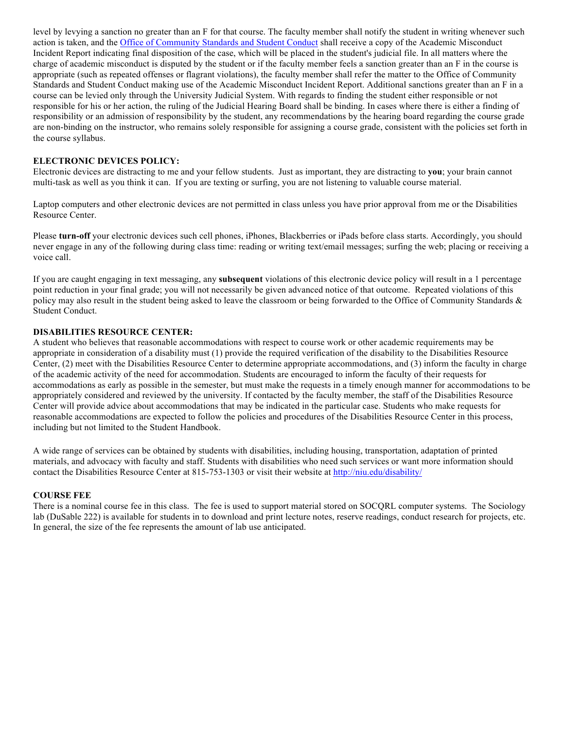level by levying a sanction no greater than an F for that course. The faculty member shall notify the student in writing whenever such action is taken, and the Office of Community Standards and Student Conduct shall receive a copy of the Academic Misconduct Incident Report indicating final disposition of the case, which will be placed in the student's judicial file. In all matters where the charge of academic misconduct is disputed by the student or if the faculty member feels a sanction greater than an F in the course is appropriate (such as repeated offenses or flagrant violations), the faculty member shall refer the matter to the Office of Community Standards and Student Conduct making use of the Academic Misconduct Incident Report. Additional sanctions greater than an F in a course can be levied only through the University Judicial System. With regards to finding the student either responsible or not responsible for his or her action, the ruling of the Judicial Hearing Board shall be binding. In cases where there is either a finding of responsibility or an admission of responsibility by the student, any recommendations by the hearing board regarding the course grade are non-binding on the instructor, who remains solely responsible for assigning a course grade, consistent with the policies set forth in the course syllabus.

### **ELECTRONIC DEVICES POLICY:**

Electronic devices are distracting to me and your fellow students. Just as important, they are distracting to **you**; your brain cannot multi-task as well as you think it can. If you are texting or surfing, you are not listening to valuable course material.

Laptop computers and other electronic devices are not permitted in class unless you have prior approval from me or the Disabilities Resource Center.

Please **turn-off** your electronic devices such cell phones, iPhones, Blackberries or iPads before class starts. Accordingly, you should never engage in any of the following during class time: reading or writing text/email messages; surfing the web; placing or receiving a voice call.

If you are caught engaging in text messaging, any **subsequent** violations of this electronic device policy will result in a 1 percentage point reduction in your final grade; you will not necessarily be given advanced notice of that outcome. Repeated violations of this policy may also result in the student being asked to leave the classroom or being forwarded to the Office of Community Standards  $\&$ Student Conduct.

### **DISABILITIES RESOURCE CENTER:**

A student who believes that reasonable accommodations with respect to course work or other academic requirements may be appropriate in consideration of a disability must (1) provide the required verification of the disability to the Disabilities Resource Center, (2) meet with the Disabilities Resource Center to determine appropriate accommodations, and (3) inform the faculty in charge of the academic activity of the need for accommodation. Students are encouraged to inform the faculty of their requests for accommodations as early as possible in the semester, but must make the requests in a timely enough manner for accommodations to be appropriately considered and reviewed by the university. If contacted by the faculty member, the staff of the Disabilities Resource Center will provide advice about accommodations that may be indicated in the particular case. Students who make requests for reasonable accommodations are expected to follow the policies and procedures of the Disabilities Resource Center in this process, including but not limited to the Student Handbook.

A wide range of services can be obtained by students with disabilities, including housing, transportation, adaptation of printed materials, and advocacy with faculty and staff. Students with disabilities who need such services or want more information should contact the Disabilities Resource Center at 815-753-1303 or visit their website at http://niu.edu/disability/

#### **COURSE FEE**

There is a nominal course fee in this class. The fee is used to support material stored on SOCQRL computer systems. The Sociology lab (DuSable 222) is available for students in to download and print lecture notes, reserve readings, conduct research for projects, etc. In general, the size of the fee represents the amount of lab use anticipated.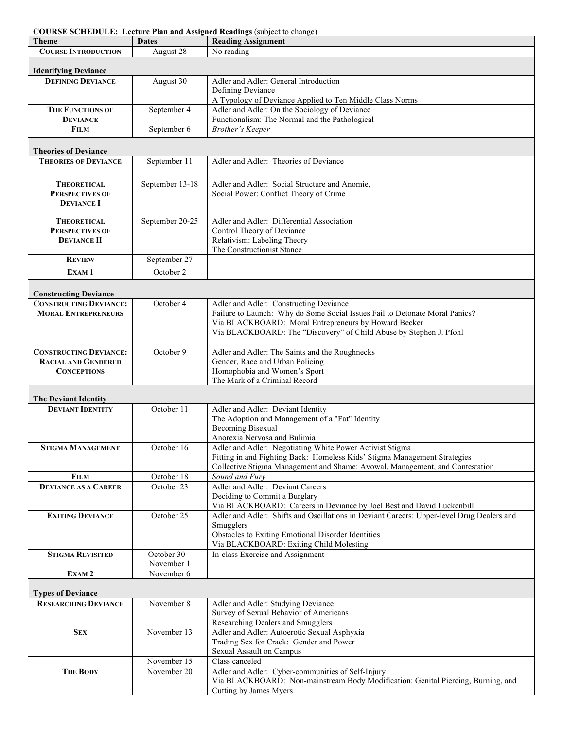| <b>COURSE SCHEDULE: Lecture Plan and Assigned Readings (subject to change)</b> |
|--------------------------------------------------------------------------------|
|--------------------------------------------------------------------------------|

| <b>Theme</b>                                                  | <b>Dates</b>    | <b>Reading Assignment</b>                                                                                                                                 |  |  |  |  |
|---------------------------------------------------------------|-----------------|-----------------------------------------------------------------------------------------------------------------------------------------------------------|--|--|--|--|
| <b>COURSE INTRODUCTION</b>                                    | August 28       | No reading                                                                                                                                                |  |  |  |  |
|                                                               |                 |                                                                                                                                                           |  |  |  |  |
| <b>Identifying Deviance</b>                                   |                 |                                                                                                                                                           |  |  |  |  |
| <b>DEFINING DEVIANCE</b>                                      | August 30       | Adler and Adler: General Introduction                                                                                                                     |  |  |  |  |
|                                                               |                 | Defining Deviance                                                                                                                                         |  |  |  |  |
| <b>THE FUNCTIONS OF</b>                                       | September 4     | A Typology of Deviance Applied to Ten Middle Class Norms<br>Adler and Adler: On the Sociology of Deviance                                                 |  |  |  |  |
| <b>DEVIANCE</b>                                               |                 | Functionalism: The Normal and the Pathological                                                                                                            |  |  |  |  |
| <b>FILM</b>                                                   | September 6     | <b>Brother's Keeper</b>                                                                                                                                   |  |  |  |  |
|                                                               |                 |                                                                                                                                                           |  |  |  |  |
| <b>Theories of Deviance</b>                                   |                 |                                                                                                                                                           |  |  |  |  |
| <b>THEORIES OF DEVIANCE</b>                                   | September 11    | Adler and Adler: Theories of Deviance                                                                                                                     |  |  |  |  |
|                                                               |                 |                                                                                                                                                           |  |  |  |  |
| <b>THEORETICAL</b>                                            | September 13-18 | Adler and Adler: Social Structure and Anomie,                                                                                                             |  |  |  |  |
| <b>PERSPECTIVES OF</b>                                        |                 | Social Power: Conflict Theory of Crime                                                                                                                    |  |  |  |  |
| <b>DEVIANCE I</b>                                             |                 |                                                                                                                                                           |  |  |  |  |
|                                                               |                 |                                                                                                                                                           |  |  |  |  |
| <b>THEORETICAL</b>                                            | September 20-25 | Adler and Adler: Differential Association                                                                                                                 |  |  |  |  |
| <b>PERSPECTIVES OF</b>                                        |                 | Control Theory of Deviance                                                                                                                                |  |  |  |  |
| <b>DEVIANCE II</b>                                            |                 | Relativism: Labeling Theory<br>The Constructionist Stance                                                                                                 |  |  |  |  |
| <b>REVIEW</b>                                                 | September 27    |                                                                                                                                                           |  |  |  |  |
| EXAM <sub>1</sub>                                             | October 2       |                                                                                                                                                           |  |  |  |  |
|                                                               |                 |                                                                                                                                                           |  |  |  |  |
|                                                               |                 |                                                                                                                                                           |  |  |  |  |
| <b>Constructing Deviance</b><br><b>CONSTRUCTING DEVIANCE:</b> | October 4       | Adler and Adler: Constructing Deviance                                                                                                                    |  |  |  |  |
| <b>MORAL ENTREPRENEURS</b>                                    |                 | Failure to Launch: Why do Some Social Issues Fail to Detonate Moral Panics?                                                                               |  |  |  |  |
|                                                               |                 | Via BLACKBOARD: Moral Entrepreneurs by Howard Becker                                                                                                      |  |  |  |  |
|                                                               |                 | Via BLACKBOARD: The "Discovery" of Child Abuse by Stephen J. Pfohl                                                                                        |  |  |  |  |
|                                                               |                 |                                                                                                                                                           |  |  |  |  |
| <b>CONSTRUCTING DEVIANCE:</b>                                 | October 9       | Adler and Adler: The Saints and the Roughnecks                                                                                                            |  |  |  |  |
| <b>RACIAL AND GENDERED</b>                                    |                 | Gender, Race and Urban Policing                                                                                                                           |  |  |  |  |
| <b>CONCEPTIONS</b>                                            |                 | Homophobia and Women's Sport                                                                                                                              |  |  |  |  |
|                                                               |                 | The Mark of a Criminal Record                                                                                                                             |  |  |  |  |
| <b>The Deviant Identity</b>                                   |                 |                                                                                                                                                           |  |  |  |  |
| <b>DEVIANT IDENTITY</b>                                       | October 11      | Adler and Adler: Deviant Identity                                                                                                                         |  |  |  |  |
|                                                               |                 | The Adoption and Management of a "Fat" Identity                                                                                                           |  |  |  |  |
|                                                               |                 | <b>Becoming Bisexual</b>                                                                                                                                  |  |  |  |  |
|                                                               |                 | Anorexia Nervosa and Bulimia                                                                                                                              |  |  |  |  |
| <b>STIGMA MANAGEMENT</b>                                      | October 16      | Adler and Adler: Negotiating White Power Activist Stigma                                                                                                  |  |  |  |  |
|                                                               |                 | Fitting in and Fighting Back: Homeless Kids' Stigma Management Strategies<br>Collective Stigma Management and Shame: Avowal, Management, and Contestation |  |  |  |  |
| <b>FILM</b>                                                   | October 18      | Sound and Fury                                                                                                                                            |  |  |  |  |
| <b>DEVIANCE AS A CAREER</b>                                   | October 23      | Adler and Adler: Deviant Careers                                                                                                                          |  |  |  |  |
|                                                               |                 | Deciding to Commit a Burglary                                                                                                                             |  |  |  |  |
|                                                               |                 | Via BLACKBOARD: Careers in Deviance by Joel Best and David Luckenbill                                                                                     |  |  |  |  |
| <b>EXITING DEVIANCE</b>                                       | October 25      | Adler and Adler: Shifts and Oscillations in Deviant Careers: Upper-level Drug Dealers and                                                                 |  |  |  |  |
|                                                               |                 | Smugglers                                                                                                                                                 |  |  |  |  |
|                                                               |                 | Obstacles to Exiting Emotional Disorder Identities                                                                                                        |  |  |  |  |
| <b>STIGMA REVISITED</b>                                       | October $30 -$  | Via BLACKBOARD: Exiting Child Molesting<br>In-class Exercise and Assignment                                                                               |  |  |  |  |
|                                                               | November 1      |                                                                                                                                                           |  |  |  |  |
| EXAM <sub>2</sub>                                             | November 6      |                                                                                                                                                           |  |  |  |  |
|                                                               |                 |                                                                                                                                                           |  |  |  |  |
| <b>Types of Deviance</b>                                      |                 |                                                                                                                                                           |  |  |  |  |
| <b>RESEARCHING DEVIANCE</b>                                   | November 8      | Adler and Adler: Studying Deviance                                                                                                                        |  |  |  |  |
|                                                               |                 | Survey of Sexual Behavior of Americans                                                                                                                    |  |  |  |  |
|                                                               |                 | Researching Dealers and Smugglers                                                                                                                         |  |  |  |  |
| <b>SEX</b>                                                    | November 13     | Adler and Adler: Autoerotic Sexual Asphyxia                                                                                                               |  |  |  |  |
|                                                               |                 | Trading Sex for Crack: Gender and Power<br>Sexual Assault on Campus                                                                                       |  |  |  |  |
|                                                               | November 15     | Class canceled                                                                                                                                            |  |  |  |  |
| <b>THE BODY</b>                                               | November 20     | Adler and Adler: Cyber-communities of Self-Injury                                                                                                         |  |  |  |  |
|                                                               |                 | Via BLACKBOARD: Non-mainstream Body Modification: Genital Piercing, Burning, and                                                                          |  |  |  |  |
|                                                               |                 | Cutting by James Myers                                                                                                                                    |  |  |  |  |